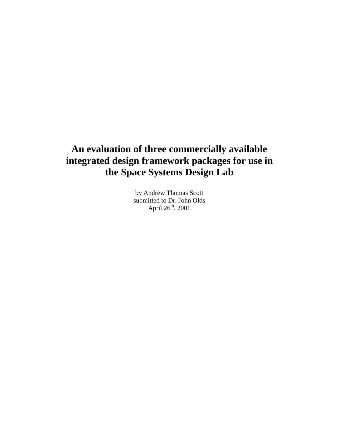# **An evaluation of three commercially available integrated design framework packages for use in the Space Systems Design Lab**

by Andrew Thomas Scott submitted to Dr. John Olds April  $26<sup>th</sup>$ , 2001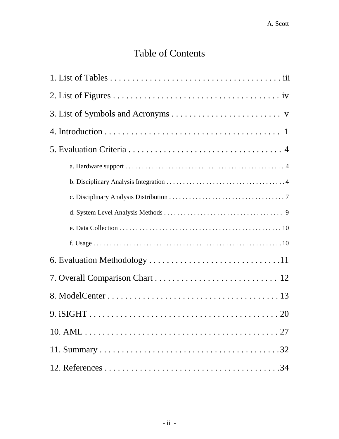# Table of Contents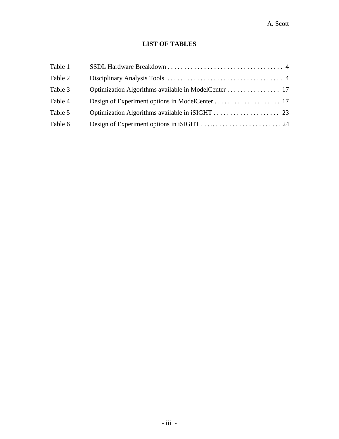# **LIST OF TABLES**

| Table 1 |  |
|---------|--|
| Table 2 |  |
| Table 3 |  |
| Table 4 |  |
| Table 5 |  |
| Table 6 |  |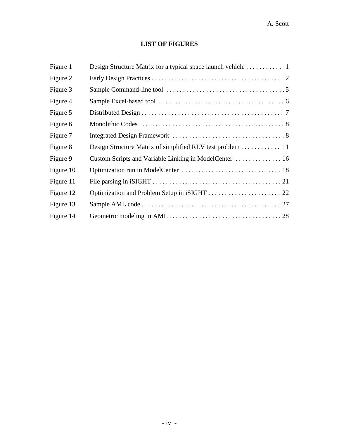## **LIST OF FIGURES**

| Figure 1  |                                                           |
|-----------|-----------------------------------------------------------|
| Figure 2  |                                                           |
| Figure 3  |                                                           |
| Figure 4  |                                                           |
| Figure 5  |                                                           |
| Figure 6  |                                                           |
| Figure 7  |                                                           |
| Figure 8  | Design Structure Matrix of simplified RLV test problem 11 |
| Figure 9  | Custom Scripts and Variable Linking in ModelCenter  16    |
| Figure 10 |                                                           |
| Figure 11 |                                                           |
| Figure 12 |                                                           |
| Figure 13 |                                                           |
| Figure 14 |                                                           |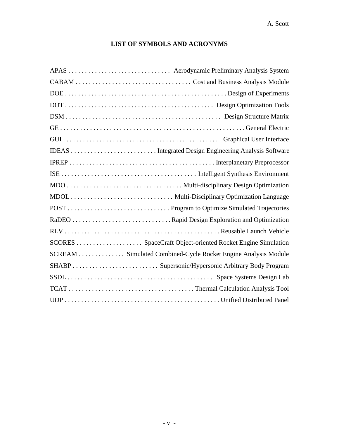## **LIST OF SYMBOLS AND ACRONYMS**

| SCREAM Simulated Combined-Cycle Rocket Engine Analysis Module |
|---------------------------------------------------------------|
|                                                               |
|                                                               |
|                                                               |
|                                                               |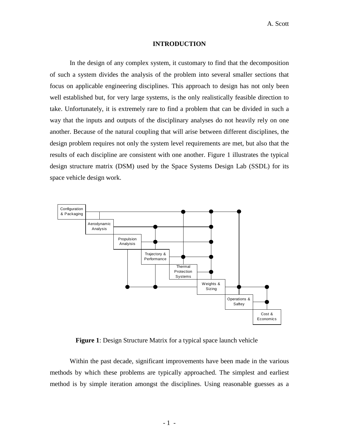### **INTRODUCTION**

In the design of any complex system, it customary to find that the decomposition of such a system divides the analysis of the problem into several smaller sections that focus on applicable engineering disciplines. This approach to design has not only been well established but, for very large systems, is the only realistically feasible direction to take. Unfortunately, it is extremely rare to find a problem that can be divided in such a way that the inputs and outputs of the disciplinary analyses do not heavily rely on one another. Because of the natural coupling that will arise between different disciplines, the design problem requires not only the system level requirements are met, but also that the results of each discipline are consistent with one another. Figure 1 illustrates the typical design structure matrix (DSM) used by the Space Systems Design Lab (SSDL) for its space vehicle design work.



**Figure 1**: Design Structure Matrix for a typical space launch vehicle

Within the past decade, significant improvements have been made in the various methods by which these problems are typically approached. The simplest and earliest method is by simple iteration amongst the disciplines. Using reasonable guesses as a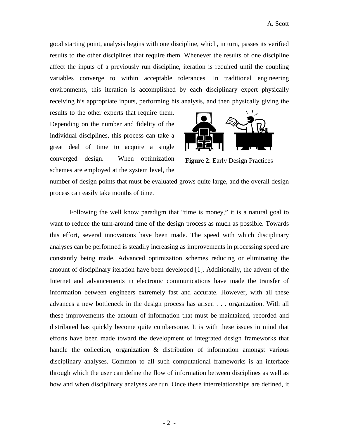good starting point, analysis begins with one discipline, which, in turn, passes its verified results to the other disciplines that require them. Whenever the results of one discipline affect the inputs of a previously run discipline, iteration is required until the coupling variables converge to within acceptable tolerances. In traditional engineering environments, this iteration is accomplished by each disciplinary expert physically receiving his appropriate inputs, performing his analysis, and then physically giving the

results to the other experts that require them. Depending on the number and fidelity of the individual disciplines, this process can take a great deal of time to acquire a single converged design. When optimization schemes are employed at the system level, the



**Figure 2**: Early Design Practices

number of design points that must be evaluated grows quite large, and the overall design process can easily take months of time.

Following the well know paradigm that "time is money," it is a natural goal to want to reduce the turn-around time of the design process as much as possible. Towards this effort, several innovations have been made. The speed with which disciplinary analyses can be performed is steadily increasing as improvements in processing speed are constantly being made. Advanced optimization schemes reducing or eliminating the amount of disciplinary iteration have been developed [1]. Additionally, the advent of the Internet and advancements in electronic communications have made the transfer of information between engineers extremely fast and accurate. However, with all these advances a new bottleneck in the design process has arisen . . . organization. With all these improvements the amount of information that must be maintained, recorded and distributed has quickly become quite cumbersome. It is with these issues in mind that efforts have been made toward the development of integrated design frameworks that handle the collection, organization & distribution of information amongst various disciplinary analyses. Common to all such computational frameworks is an interface through which the user can define the flow of information between disciplines as well as how and when disciplinary analyses are run. Once these interrelationships are defined, it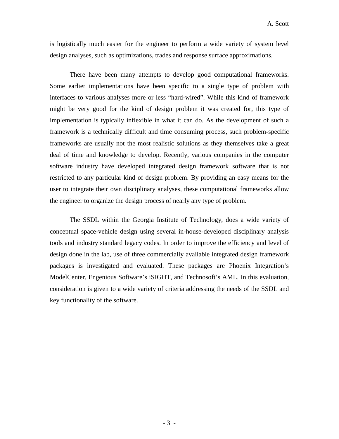is logistically much easier for the engineer to perform a wide variety of system level design analyses, such as optimizations, trades and response surface approximations.

There have been many attempts to develop good computational frameworks. Some earlier implementations have been specific to a single type of problem with interfaces to various analyses more or less "hard-wired". While this kind of framework might be very good for the kind of design problem it was created for, this type of implementation is typically inflexible in what it can do. As the development of such a framework is a technically difficult and time consuming process, such problem-specific frameworks are usually not the most realistic solutions as they themselves take a great deal of time and knowledge to develop. Recently, various companies in the computer software industry have developed integrated design framework software that is not restricted to any particular kind of design problem. By providing an easy means for the user to integrate their own disciplinary analyses, these computational frameworks allow the engineer to organize the design process of nearly any type of problem.

The SSDL within the Georgia Institute of Technology, does a wide variety of conceptual space-vehicle design using several in-house-developed disciplinary analysis tools and industry standard legacy codes. In order to improve the efficiency and level of design done in the lab, use of three commercially available integrated design framework packages is investigated and evaluated. These packages are Phoenix Integration's ModelCenter, Engenious Software's iSIGHT, and Technosoft's AML. In this evaluation, consideration is given to a wide variety of criteria addressing the needs of the SSDL and key functionality of the software.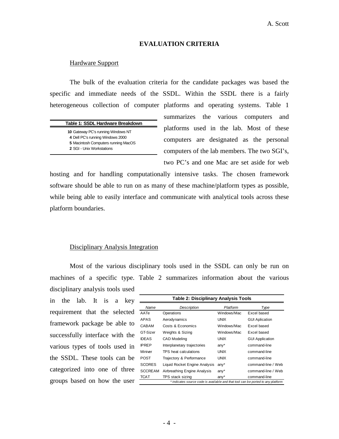### **EVALUATION CRITERIA**

### Hardware Support

| Table 1: SSDL Hardware Breakdown |  |
|----------------------------------|--|
|                                  |  |

 Gateway PC's running Windows NT Dell PC's running Windows 2000 Macintosh Computers running MacOS SGI - Unix Workstations

The bulk of the evaluation criteria for the candidate packages was based the specific and immediate needs of the SSDL. Within the SSDL there is a fairly heterogeneous collection of computer platforms and operating systems. Table 1 summarizes the various computers and platforms used in the lab. Most of these computers are designated as the personal computers of the lab members. The two SGI's, two PC's and one Mac are set aside for web

hosting and for handling computationally intensive tasks. The chosen framework software should be able to run on as many of these machine/platform types as possible, while being able to easily interface and communicate with analytical tools across these platform boundaries.

### Disciplinary Analysis Integration

Most of the various disciplinary tools used in the SSDL can only be run on machines of a specific type. Table 2 summarizes information about the various disciplinary analysis tools used in the lab. It is a key requirement that the selected framework package be able to successfully interface with the various types of tools used in the SSDL. These tools can be categorized into one of three groups based on how the user

| Description<br>Operations<br>Aerodynamics<br>Costs & Economics<br>Weights & Sizing | Platform<br>Windows/Mac<br><b>UNIX</b><br>Windows/Mac<br>Windows/Mac | Type<br>Excel based<br><b>GUI Aplication</b><br>Excel based                      |
|------------------------------------------------------------------------------------|----------------------------------------------------------------------|----------------------------------------------------------------------------------|
|                                                                                    |                                                                      |                                                                                  |
|                                                                                    |                                                                      |                                                                                  |
|                                                                                    |                                                                      |                                                                                  |
|                                                                                    |                                                                      |                                                                                  |
|                                                                                    |                                                                      | Excel based                                                                      |
| <b>CAD Modeling</b>                                                                | <b>UNIX</b>                                                          | <b>GUI Application</b>                                                           |
| Interplanetary trajectories                                                        | $any^*$                                                              | command-line                                                                     |
| TPS heat calculations                                                              | <b>UNIX</b>                                                          | command-line                                                                     |
| Trajectory & Performance                                                           | <b>UNIX</b>                                                          | command-line                                                                     |
| Liquid Rocket Engine Analysis                                                      | $any^*$                                                              | command-line / Web                                                               |
| Airbreathing Engine Analysis                                                       | $any^*$                                                              | command-line / Web                                                               |
| TPS stack sizing                                                                   | $any^*$                                                              | command-line                                                                     |
|                                                                                    |                                                                      | * indicates source code is available and that tool can be ported to any platform |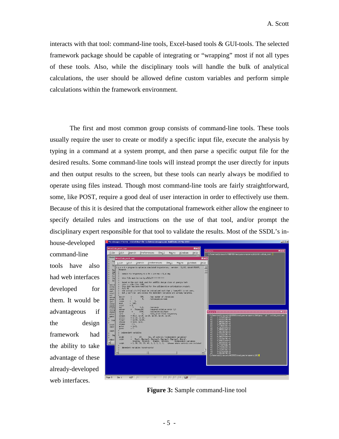interacts with that tool: command-line tools, Excel-based tools & GUI-tools. The selected framework package should be capable of integrating or "wrapping" most if not all types of these tools. Also, while the disciplinary tools will handle the bulk of analytical calculations, the user should be allowed define custom variables and perform simple calculations within the framework environment.

The first and most common group consists of command-line tools. These tools usually require the user to create or modify a specific input file, execute the analysis by typing in a command at a system prompt, and then parse a specific output file for the desired results. Some command-line tools will instead prompt the user directly for inputs and then output results to the screen, but these tools can nearly always be modified to operate using files instead. Though most command-line tools are fairly straightforward, some, like POST, require a good deal of user interaction in order to effectively use them. Because of this it is desired that the computational framework either allow the engineer to specify detailed rules and instructions on the use of that tool, and/or prompt the disciplinary expert responsible for that tool to validate the results. Most of the SSDL's in-

house-developed command-line tools have also had web interfaces developed for them. It would be advantageous if the design framework had the ability to take advantage of these already-developed web interfaces.



**Figure 3:** Sample command-line tool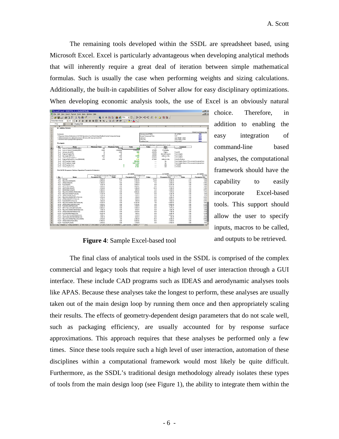The remaining tools developed within the SSDL are spreadsheet based, using Microsoft Excel. Excel is particularly advantageous when developing analytical methods that will inherently require a great deal of iteration between simple mathematical formulas. Such is usually the case when performing weights and sizing calculations. Additionally, the built-in capabilities of Solver allow for easy disciplinary optimizations. When developing economic analysis tools, the use of Excel is an obviously natural



choice. Therefore, in addition to enabling the easy integration of command-line based analyses, the computational framework should have the capability to easily incorporate Excel-based tools. This support should allow the user to specify inputs, macros to be called, and outputs to be retrieved.

**Figure 4**: Sample Excel-based tool

The final class of analytical tools used in the SSDL is comprised of the complex commercial and legacy tools that require a high level of user interaction through a GUI interface. These include CAD programs such as IDEAS and aerodynamic analyses tools like APAS. Because these analyses take the longest to perform, these analyses are usually taken out of the main design loop by running them once and then appropriately scaling their results. The effects of geometry-dependent design parameters that do not scale well, such as packaging efficiency, are usually accounted for by response surface approximations. This approach requires that these analyses be performed only a few times. Since these tools require such a high level of user interaction, automation of these disciplines within a computational framework would most likely be quite difficult. Furthermore, as the SSDL's traditional design methodology already isolates these types of tools from the main design loop (see Figure 1), the ability to integrate them within the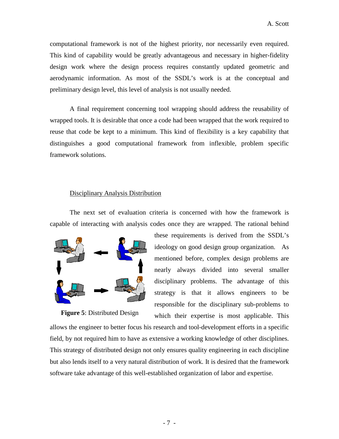computational framework is not of the highest priority, nor necessarily even required. This kind of capability would be greatly advantageous and necessary in higher-fidelity design work where the design process requires constantly updated geometric and aerodynamic information. As most of the SSDL's work is at the conceptual and preliminary design level, this level of analysis is not usually needed.

A final requirement concerning tool wrapping should address the reusability of wrapped tools. It is desirable that once a code had been wrapped that the work required to reuse that code be kept to a minimum. This kind of flexibility is a key capability that distinguishes a good computational framework from inflexible, problem specific framework solutions.

### Disciplinary Analysis Distribution

The next set of evaluation criteria is concerned with how the framework is capable of interacting with analysis codes once they are wrapped. The rational behind



**Figure 5**: Distributed Design

these requirements is derived from the SSDL's ideology on good design group organization. As mentioned before, complex design problems are nearly always divided into several smaller disciplinary problems. The advantage of this strategy is that it allows engineers to be responsible for the disciplinary sub-problems to which their expertise is most applicable. This

allows the engineer to better focus his research and tool-development efforts in a specific field, by not required him to have as extensive a working knowledge of other disciplines. This strategy of distributed design not only ensures quality engineering in each discipline but also lends itself to a very natural distribution of work. It is desired that the framework software take advantage of this well-established organization of labor and expertise.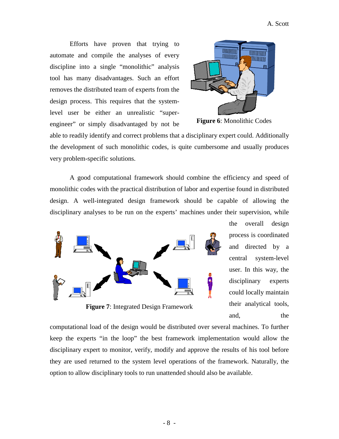Efforts have proven that trying to automate and compile the analyses of every discipline into a single "monolithic" analysis tool has many disadvantages. Such an effort removes the distributed team of experts from the design process. This requires that the systemlevel user be either an unrealistic "superengineer" or simply disadvantaged by not be



**Figure 6**: Monolithic Codes

able to readily identify and correct problems that a disciplinary expert could. Additionally the development of such monolithic codes, is quite cumbersome and usually produces very problem-specific solutions.

A good computational framework should combine the efficiency and speed of monolithic codes with the practical distribution of labor and expertise found in distributed design. A well-integrated design framework should be capable of allowing the disciplinary analyses to be run on the experts' machines under their supervision, while



**Figure 7**: Integrated Design Framework

the overall design process is coordinated and directed by a central system-level user. In this way, the disciplinary experts could locally maintain their analytical tools, and, the

computational load of the design would be distributed over several machines. To further keep the experts "in the loop" the best framework implementation would allow the disciplinary expert to monitor, verify, modify and approve the results of his tool before they are used returned to the system level operations of the framework. Naturally, the option to allow disciplinary tools to run unattended should also be available.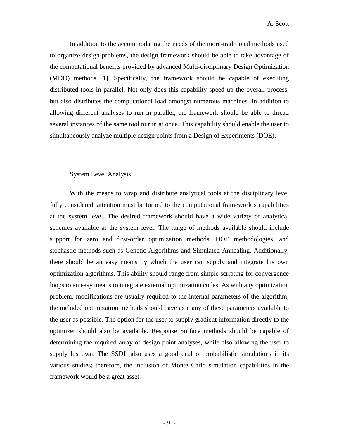In addition to the accommodating the needs of the more-traditional methods used to organize design problems, the design framework should be able to take advantage of the computational benefits provided by advanced Multi-disciplinary Design Optimization (MDO) methods [1]. Specifically, the framework should be capable of executing distributed tools in parallel. Not only does this capability speed up the overall process, but also distributes the computational load amongst numerous machines. In addition to allowing different analyses to run in parallel, the framework should be able to thread several instances of the same tool to run at once. This capability should enable the user to simultaneously analyze multiple design points from a Design of Experiments (DOE).

### System Level Analysis

With the means to wrap and distribute analytical tools at the disciplinary level fully considered, attention must be turned to the computational framework's capabilities at the system level. The desired framework should have a wide variety of analytical schemes available at the system level. The range of methods available should include support for zero and first-order optimization methods, DOE methodologies, and stochastic methods such as Genetic Algorithms and Simulated Annealing. Additionally, there should be an easy means by which the user can supply and integrate his own optimization algorithms. This ability should range from simple scripting for convergence loops to an easy means to integrate external optimization codes. As with any optimization problem, modifications are usually required to the internal parameters of the algorithm; the included optimization methods should have as many of these parameters available to the user as possible. The option for the user to supply gradient information directly to the optimizer should also be available. Response Surface methods should be capable of determining the required array of design point analyses, while also allowing the user to supply his own. The SSDL also uses a good deal of probabilistic simulations in its various studies; therefore, the inclusion of Monte Carlo simulation capabilities in the framework would be a great asset.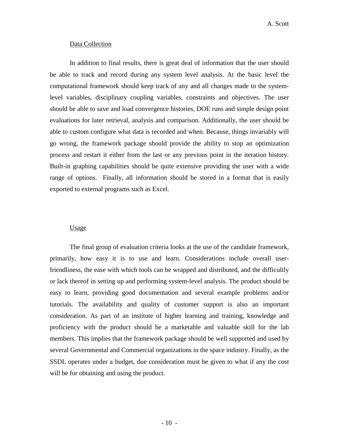### Data Collection

In addition to final results, there is great deal of information that the user should be able to track and record during any system level analysis. At the basic level the computational framework should keep track of any and all changes made to the systemlevel variables, disciplinary coupling variables, constraints and objectives. The user should be able to save and load convergence histories, DOE runs and simple design point evaluations for later retrieval, analysis and comparison. Additionally, the user should be able to custom configure what data is recorded and when. Because, things invariably will go wrong, the framework package should provide the ability to stop an optimization process and restart it either from the last or any previous point in the iteration history. Built-in graphing capabilities should be quite extensive providing the user with a wide range of options. Finally, all information should be stored in a format that is easily exported to external programs such as Excel.

### Usage

The final group of evaluation criteria looks at the use of the candidate framework, primarily, how easy it is to use and learn. Considerations include overall userfriendliness, the ease with which tools can be wrapped and distributed, and the difficultly or lack thereof in setting up and performing system-level analysis. The product should be easy to learn, providing good documentation and several example problems and/or tutorials. The availability and quality of customer support is also an important consideration. As part of an institute of higher learning and training, knowledge and proficiency with the product should be a marketable and valuable skill for the lab members. This implies that the framework package should be well supported and used by several Governmental and Commercial organizations in the space industry. Finally, as the SSDL operates under a budget, due consideration must be given to what if any the cost will be for obtaining and using the product.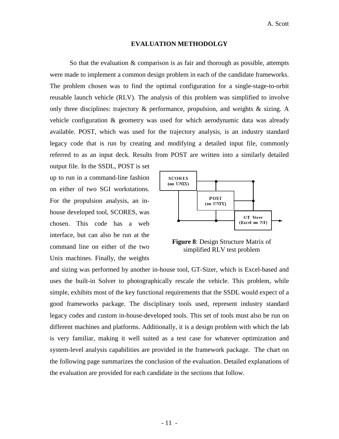#### **EVALUATION METHODOLGY**

So that the evaluation & comparison is as fair and thorough as possible, attempts were made to implement a common design problem in each of the candidate frameworks. The problem chosen was to find the optimal configuration for a single-stage-to-orbit reusable launch vehicle (RLV). The analysis of this problem was simplified to involve only three disciplines: trajectory & performance, propulsion, and weights & sizing. A vehicle configuration & geometry was used for which aerodynamic data was already available. POST, which was used for the trajectory analysis, is an industry standard legacy code that is run by creating and modifying a detailed input file, commonly referred to as an input deck. Results from POST are written into a similarly detailed

output file. In the SSDL, POST is set up to run in a command-line fashion on either of two SGI workstations. For the propulsion analysis, an inhouse developed tool, SCORES, was chosen. This code has a web interface, but can also be run at the command line on either of the two Unix machines. Finally, the weights



**Figure 8**: Design Structure Matrix of simplified RLV test problem

and sizing was performed by another in-house tool, GT-Sizer, which is Excel-based and uses the built-in Solver to photographically rescale the vehicle. This problem, while simple, exhibits most of the key functional requirements that the SSDL would expect of a good frameworks package. The disciplinary tools used, represent industry standard legacy codes and custom in-house-developed tools. This set of tools must also be run on different machines and platforms. Additionally, it is a design problem with which the lab is very familiar, making it well suited as a test case for whatever optimization and system-level analysis capabilities are provided in the framework package. The chart on the following page summarizes the conclusion of the evaluation. Detailed explanations of the evaluation are provided for each candidate in the sections that follow.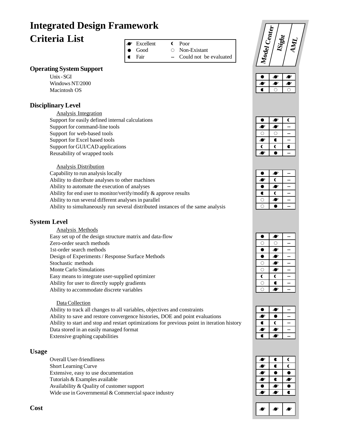# **Integrated Design Framework Criteria List** Excellent

# **Operating System Support**

Unix - SGI Windows NT/2000 Macintosh OS

### **Disciplinary Level**

Analysis Integration Support for easily defined internal calculations Support for command-line tools Support for web-based tools Support for Excel based tools Support for GUI/CAD applications Reusability of wrapped tools

Analysis Distribution Capability to run analysis locally Ability to distribute analyses to other machines Ability to automate the execution of analyses Ability for end user to monitor/verify/modify & approve results Ability to run several different analyses in parallel Ability to simultaneously run several distributed instances of the same analysis

### **System Level**

Analysis Methods Easy set up of the design structure matrix and data-flow Zero-order search methods 1st-order search methods Design of Experiments / Response Surface Methods Stochastic methods Monte Carlo Simulations Easy means to integrate user-supplied optimizer Ability for user to directly supply gradients Ability to accommodate discrete variables

#### Data Collection

Ability to track all changes to all variables, objectives and constraints Ability to save and restore convergence histories, DOE and point evaluations Ability to start and stop and restart optimizations for previous point in iteration history Data stored in an easily managed format Extensive graphing capabilities

### **Usage**

Overall User-friendliness Short Learning Curve Extensive, easy to use documentation Tutorials & Examples available Availability & Quality of customer support Wide use in Governmental & Commercial space industry

Good

Fair

 $\bullet$  $\blacksquare$ 

- $\epsilon$ Non-Existant
- **--** Could not be evaluated

Poor



|   | ®  | r |
|---|----|---|
| ◢ | ◚  |   |
|   |    |   |
| ◢ | r. |   |
| ſ |    |   |
|   |    |   |

|   | Æ |  |
|---|---|--|
| Æ | C |  |
|   | Æ |  |
| a | ſ |  |
|   | ☎ |  |
|   |   |  |

| ۴             | Ø      |  |
|---------------|--------|--|
| Ĉ             |        |  |
|               | œ<br>₫ |  |
| ۰             | Ø      |  |
| $\circ$       | Ø      |  |
| $\dot{\circ}$ | Ð<br>٥ |  |
| C             | C      |  |
|               |        |  |
|               |        |  |

|   | О |  |
|---|---|--|
|   |   |  |
| ٥ | æ |  |
|   |   |  |
|   |   |  |



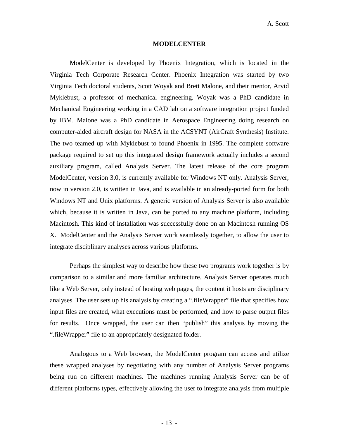#### **MODELCENTER**

ModelCenter is developed by Phoenix Integration, which is located in the Virginia Tech Corporate Research Center. Phoenix Integration was started by two Virginia Tech doctoral students, Scott Woyak and Brett Malone, and their mentor, Arvid Myklebust, a professor of mechanical engineering. Woyak was a PhD candidate in Mechanical Engineering working in a CAD lab on a software integration project funded by IBM. Malone was a PhD candidate in Aerospace Engineering doing research on computer-aided aircraft design for NASA in the ACSYNT (AirCraft Synthesis) Institute. The two teamed up with Myklebust to found Phoenix in 1995. The complete software package required to set up this integrated design framework actually includes a second auxiliary program, called Analysis Server. The latest release of the core program ModelCenter, version 3.0, is currently available for Windows NT only. Analysis Server, now in version 2.0, is written in Java, and is available in an already-ported form for both Windows NT and Unix platforms. A generic version of Analysis Server is also available which, because it is written in Java, can be ported to any machine platform, including Macintosh. This kind of installation was successfully done on an Macintosh running OS X. ModelCenter and the Analysis Server work seamlessly together, to allow the user to integrate disciplinary analyses across various platforms.

Perhaps the simplest way to describe how these two programs work together is by comparison to a similar and more familiar architecture. Analysis Server operates much like a Web Server, only instead of hosting web pages, the content it hosts are disciplinary analyses. The user sets up his analysis by creating a ".fileWrapper" file that specifies how input files are created, what executions must be performed, and how to parse output files for results. Once wrapped, the user can then "publish" this analysis by moving the ".fileWrapper" file to an appropriately designated folder.

Analogous to a Web browser, the ModelCenter program can access and utilize these wrapped analyses by negotiating with any number of Analysis Server programs being run on different machines. The machines running Analysis Server can be of different platforms types, effectively allowing the user to integrate analysis from multiple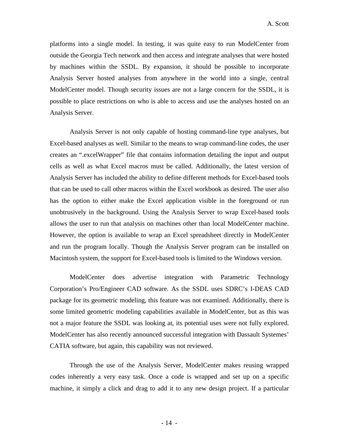platforms into a single model. In testing, it was quite easy to run ModelCenter from outside the Georgia Tech network and then access and integrate analyses that were hosted by machines within the SSDL. By expansion, it should be possible to incorporate Analysis Server hosted analyses from anywhere in the world into a single, central ModelCenter model. Though security issues are not a large concern for the SSDL, it is possible to place restrictions on who is able to access and use the analyses hosted on an Analysis Server.

Analysis Server is not only capable of hosting command-line type analyses, but Excel-based analyses as well. Similar to the means to wrap command-line codes, the user creates an ".excelWrapper" file that contains information detailing the input and output cells as well as what Excel macros must be called. Additionally, the latest version of Analysis Server has included the ability to define different methods for Excel-based tools that can be used to call other macros within the Excel workbook as desired. The user also has the option to either make the Excel application visible in the foreground or run unobtrusively in the background. Using the Analysis Server to wrap Excel-based tools allows the user to run that analysis on machines other than local ModelCenter machine. However, the option is available to wrap an Excel spreadsheet directly in ModelCenter and run the program locally. Though the Analysis Server program can be installed on Macintosh system, the support for Excel-based tools is limited to the Windows version.

ModelCenter does advertise integration with Parametric Technology Corporation's Pro/Engineer CAD software. As the SSDL uses SDRC's I-DEAS CAD package for its geometric modeling, this feature was not examined. Additionally, there is some limited geometric modeling capabilities available in ModelCenter, but as this was not a major feature the SSDL was looking at, its potential uses were not fully explored. ModelCenter has also recently announced successful integration with Dassault Systemes' CATIA software, but again, this capability was not reviewed.

Through the use of the Analysis Server, ModelCenter makes reusing wrapped codes inherently a very easy task. Once a code is wrapped and set up on a specific machine, it simply a click and drag to add it to any new design project. If a particular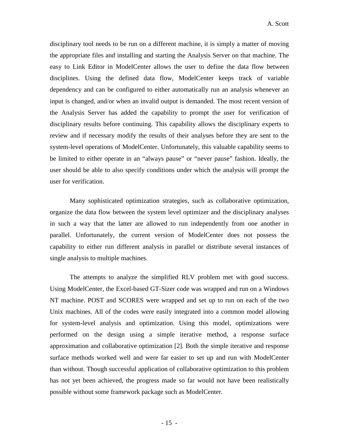disciplinary tool needs to be run on a different machine, it is simply a matter of moving the appropriate files and installing and starting the Analysis Server on that machine. The easy to Link Editor in ModelCenter allows the user to define the data flow between disciplines. Using the defined data flow, ModelCenter keeps track of variable dependency and can be configured to either automatically run an analysis whenever an input is changed, and/or when an invalid output is demanded. The most recent version of the Analysis Server has added the capability to prompt the user for verification of disciplinary results before continuing. This capability allows the disciplinary experts to review and if necessary modify the results of their analyses before they are sent to the system-level operations of ModelCenter. Unfortunately, this valuable capability seems to be limited to either operate in an "always pause" or "never pause" fashion. Ideally, the user should be able to also specify conditions under which the analysis will prompt the user for verification.

Many sophisticated optimization strategies, such as collaborative optimization, organize the data flow between the system level optimizer and the disciplinary analyses in such a way that the latter are allowed to run independently from one another in parallel. Unfortunately, the current version of ModelCenter does not possess the capability to either run different analysis in parallel or distribute several instances of single analysis to multiple machines.

The attempts to analyze the simplified RLV problem met with good success. Using ModelCenter, the Excel-based GT-Sizer code was wrapped and run on a Windows NT machine. POST and SCORES were wrapped and set up to run on each of the two Unix machines. All of the codes were easily integrated into a common model allowing for system-level analysis and optimization. Using this model, optimizations were performed on the design using a simple iterative method, a response surface approximation and collaborative optimization [2]. Both the simple iterative and response surface methods worked well and were far easier to set up and run with ModelCenter than without. Though successful application of collaborative optimization to this problem has not yet been achieved, the progress made so far would not have been realistically possible without some framework package such as ModelCenter.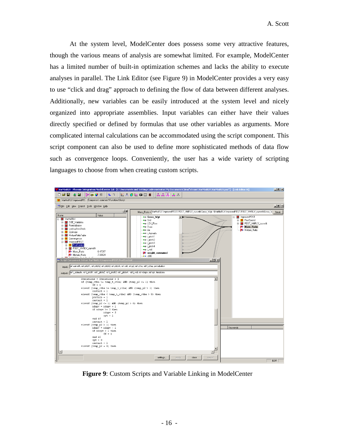At the system level, ModelCenter does possess some very attractive features, though the various means of analysis are somewhat limited. For example, ModelCenter has a limited number of built-in optimization schemes and lacks the ability to execute analyses in parallel. The Link Editor (see Figure 9) in ModelCenter provides a very easy to use "click and drag" approach to defining the flow of data between different analyses. Additionally, new variables can be easily introduced at the system level and nicely organized into appropriate assemblies. Input variables can either have their values directly specified or defined by formulas that use other variables as arguments. More complicated internal calculations can be accommodated using the script component. This script component can also be used to define more sophisticated methods of data flow such as convergence loops. Conveniently, the user has a wide variety of scripting languages to choose from when creating custom scripts.



**Figure 9**: Custom Scripts and Variable Linking in ModelCenter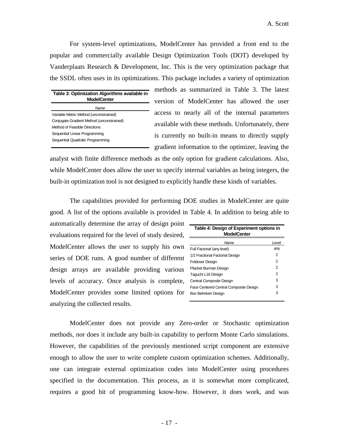For system-level optimizations, ModelCenter has provided a front end to the popular and commercially available Design Optimization Tools (DOT) developed by Vanderplaats Research & Development, Inc. This is the very optimization package that the SSDL often uses in its optimizations. This package includes a variety of optimization

| Table 3: Optimization Algorithms available in<br><b>ModelCenter</b> |  |  |
|---------------------------------------------------------------------|--|--|
| Name                                                                |  |  |
| Variable Metric Method (unconstrained)                              |  |  |
| Conjugate Gradient Method (unconstrained)                           |  |  |
| Method of Feasible Directions                                       |  |  |
| Sequential Linear Programming                                       |  |  |
| Sequential Quadratic Programming                                    |  |  |

methods as summarized in Table 3. The latest version of ModelCenter has allowed the user access to nearly all of the internal parameters available with these methods. Unfortunately, there is currently no built-in means to directly supply gradient information to the optimizer, leaving the

analyst with finite difference methods as the only option for gradient calculations. Also, while ModelCenter does allow the user to specify internal variables as being integers, the built-in optimization tool is not designed to explicitly handle these kinds of variables.

The capabilities provided for performing DOE studies in ModelCenter are quite good. A list of the options available is provided in Table 4. In addition to being able to

automatically determine the array of design point evaluations required for the level of study desired, ModelCenter allows the user to supply his own series of DOE runs. A good number of different design arrays are available providing various levels of accuracy. Once analysis is complete, ModelCenter provides some limited options for analyzing the collected results.

| Table 4: Design of Experiment options in<br><b>ModelCenter</b> |                |  |
|----------------------------------------------------------------|----------------|--|
| Name                                                           | Level          |  |
| Full Factorial (any level)                                     | any            |  |
| 1/2 Fractional Factorial Design                                | 2              |  |
| Foldover Design                                                | $\overline{2}$ |  |
| Placket Burman Design                                          | 2              |  |
| Taguchi L16 Design                                             | 2              |  |
| Central Composite Deisgn                                       | 3              |  |
| Face Centered Central Composite Design                         | 3              |  |
| Box Behnken Design                                             | 3              |  |

ModelCenter does not provide any Zero-order or Stochastic optimization methods, nor does it include any built-in capability to perform Monte Carlo simulations. However, the capabilities of the previously mentioned script component are extensive enough to allow the user to write complete custom optimization schemes. Additionally, one can integrate external optimization codes into ModelCenter using procedures specified in the documentation. This process, as it is somewhat more complicated, requires a good bit of programming know-how. However, it does work, and was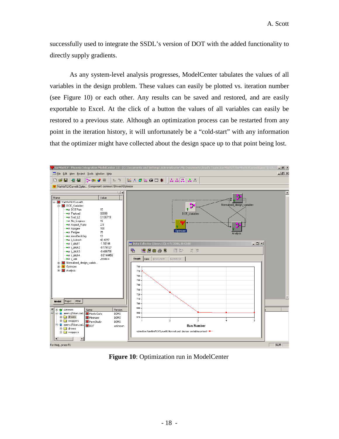successfully used to integrate the SSDL's version of DOT with the added functionality to directly supply gradients.

As any system-level analysis progresses, ModelCenter tabulates the values of all variables in the design problem. These values can easily be plotted vs. iteration number (see Figure 10) or each other. Any results can be saved and restored, and are easily exportable to Excel. At the click of a button the values of all variables can easily be restored to a previous state. Although an optimization process can be restarted from any point in the iteration history, it will unfortunately be a "cold-start" with any information that the optimizer might have collected about the design space up to that point being lost.



**Figure 10**: Optimization run in ModelCenter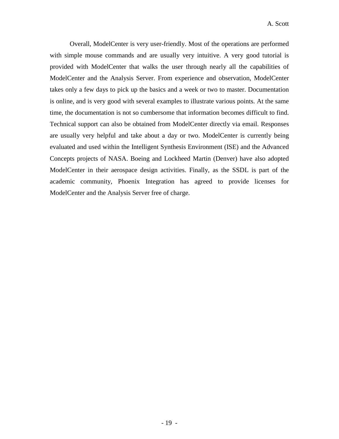Overall, ModelCenter is very user-friendly. Most of the operations are performed with simple mouse commands and are usually very intuitive. A very good tutorial is provided with ModelCenter that walks the user through nearly all the capabilities of ModelCenter and the Analysis Server. From experience and observation, ModelCenter takes only a few days to pick up the basics and a week or two to master. Documentation is online, and is very good with several examples to illustrate various points. At the same time, the documentation is not so cumbersome that information becomes difficult to find. Technical support can also be obtained from ModelCenter directly via email. Responses are usually very helpful and take about a day or two. ModelCenter is currently being evaluated and used within the Intelligent Synthesis Environment (ISE) and the Advanced Concepts projects of NASA. Boeing and Lockheed Martin (Denver) have also adopted ModelCenter in their aerospace design activities. Finally, as the SSDL is part of the academic community, Phoenix Integration has agreed to provide licenses for ModelCenter and the Analysis Server free of charge.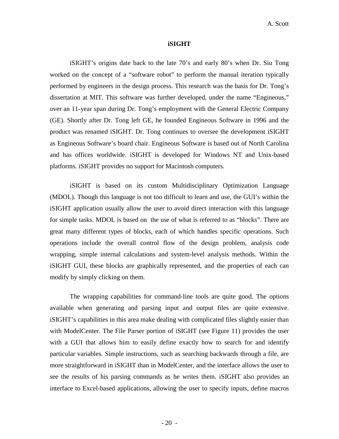#### **iSIGHT**

iSIGHT's origins date back to the late 70's and early 80's when Dr. Siu Tong worked on the concept of a "software robot" to perform the manual iteration typically performed by engineers in the design process. This research was the basis for Dr. Tong's dissertation at MIT. This software was further developed, under the name "Engineous," over an 11-year span during Dr. Tong's employment with the General Electric Company (GE). Shortly after Dr. Tong left GE, he founded Engineous Software in 1996 and the product was renamed iSIGHT. Dr. Tong continues to oversee the development iSIGHT as Engineous Software's board chair. Engineous Software is based out of North Carolina and has offices worldwide. iSIGHT is developed for Windows NT and Unix-based platforms. iSIGHT provides no support for Macintosh computers.

iSIGHT is based on its custom Multidisciplinary Optimization Language (MDOL). Though this language is not too difficult to learn and use, the GUI's within the iSIGHT application usually allow the user to avoid direct interaction with this language for simple tasks. MDOL is based on the use of what is referred to as "blocks". There are great many different types of blocks, each of which handles specific operations. Such operations include the overall control flow of the design problem, analysis code wrapping, simple internal calculations and system-level analysis methods. Within the iSIGHT GUI, these blocks are graphically represented, and the properties of each can modify by simply clicking on them.

The wrapping capabilities for command-line tools are quite good. The options available when generating and parsing input and output files are quite extensive. iSIGHT's capabilities in this area make dealing with complicated files slightly easier than with ModelCenter. The File Parser portion of iSIGHT (see Figure 11) provides the user with a GUI that allows him to easily define exactly how to search for and identify particular variables. Simple instructions, such as searching backwards through a file, are more straightforward in iSIGHT than in ModelCenter, and the interface allows the user to see the results of his parsing commands as he writes them. iSIGHT also provides an interface to Excel-based applications, allowing the user to specify inputs, define macros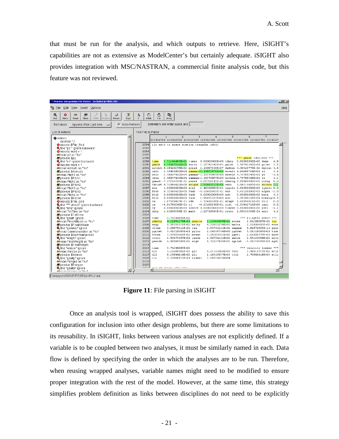that must be run for the analysis, and which outputs to retrieve. Here, iSIGHT's capabilities are not as extensive as ModelCenter's but certainly adequate. iSIGHT also provides integration with MSC/NASTRAN, a commercial finite analysis code, but this feature was not reviewed.

| ≥ Process Integration: File Parser - Included in MDOL File                                                                                                                | $\Box$ D $\bm{x}$                                                                                                                                       |  |  |  |
|---------------------------------------------------------------------------------------------------------------------------------------------------------------------------|---------------------------------------------------------------------------------------------------------------------------------------------------------|--|--|--|
| File Edit View Insert Options                                                                                                                                             | Help                                                                                                                                                    |  |  |  |
| <u>ж.</u><br>$\mathcal{G}_{\mathcal{G}}$<br>۹<br>المد<br>٨<br>$\bullet$<br>68<br>нU<br>Find<br>Write<br>Expr<br>If<br>While<br>Move<br>Read<br>Store<br>Replace<br>Return | G<br>O<br>n,<br>For<br>Array                                                                                                                            |  |  |  |
| Delimiters are white space and<br>$\nabla$ Auto-Refresh<br>Edit Mode:<br>Append After Last Item<br><b>College</b>                                                         |                                                                                                                                                         |  |  |  |
|                                                                                                                                                                           |                                                                                                                                                         |  |  |  |
| List of Actions:<br>Text File to Parse:                                                                                                                                   |                                                                                                                                                         |  |  |  |
| l A<br><b>C</b> Actions                                                                                                                                                   | $\mathfrak{D}$<br>3.<br>5.<br>7<br>$\mathbf{1}$<br>6.<br>$\ddot{a}$<br>123456789 123456789 123456789 123456789 123456789 123456789 123456789 1234567    |  |  |  |
| delimiter "."                                                                                                                                                             |                                                                                                                                                         |  |  |  |
| <b>O</b> moveto \$File End<br>2084                                                                                                                                        | rlv ssto to space station transfer orbit                                                                                                                |  |  |  |
| 2085<br>Q find "p2 " ignore backward                                                                                                                                      |                                                                                                                                                         |  |  |  |
| 2086<br>$\bullet$ moveto word + 1<br>60 read p2 as "%s"<br>2087                                                                                                           |                                                                                                                                                         |  |  |  |
| 2088<br>provide \$p2                                                                                                                                                      | *** phase 1000.000 ***                                                                                                                                  |  |  |  |
| Q find "u=" ignore backward<br>2089                                                                                                                                       | $3.71244693E+02$ times 0.00000000E+00 tdurp 0.00000000E+00 dens<br>time<br>4.9                                                                          |  |  |  |
| 2090<br>$\bullet$ moveto word + 1                                                                                                                                         | 4.74087566E+05 decln 3.50743142E+01 gdlat 3.50743142E+01 gclat 3.5<br><b>adalt</b>                                                                      |  |  |  |
| 2091<br>60 read Azimuth as "%s"                                                                                                                                           | altdot-5.18420275E+02 gcrad 2.13997339E+07 dgdlat 4.49329770E-02 dgclat 4.4                                                                             |  |  |  |
| 2092<br>provide \$Azimuth                                                                                                                                                 | 2.58406900E+04 qammai-i.14955470E+00 azveli 4.94898764E+01 xi<br>veli<br>5.6                                                                            |  |  |  |
| 2093<br>60 read Pitch1 as "%s"                                                                                                                                            | 2.48837432E+04 qammar-1.19376907E+00 azvelr 4.75789349E+01 vi<br>velr<br>$-1.6$                                                                         |  |  |  |
| 2094<br><b>forovide \$Pitch1</b>                                                                                                                                          | 2.48837432E+04 qammaa-1.19376907E+00 azvela 4.75789349E+01 zi<br>1.2<br>vela                                                                            |  |  |  |
| 60 read Pitch2 as "%s"<br>2095                                                                                                                                            | gamad -7.67215330E-02 azvad 4.05758243E-02 dwnrng 0.00000000E+00 crrng 0.0                                                                              |  |  |  |
| 2096<br>provide \$Pitch2<br>2097                                                                                                                                          | 1.98314687E+03 weicon 2.2<br>thrust 8.72584622E+05 weight 2.90861323E+05 wdot<br>eta                                                                    |  |  |  |
| 60 read Pitch3 as "%s"<br>2098<br><b>for</b> provide \$Pitch3                                                                                                             | 2.49309893E-01 ipnull 0.00000000E+00 iynull 0.0<br>1.00000000E+00 etal<br>ftxb<br>8.72584622E+05 faxb -6.51658483E-01 axb<br>9.65220000E+01 alpha -2.0  |  |  |  |
| 60 read Pitch4 as "%s"<br>2099                                                                                                                                            | 0.00000000E+00 ayb<br>0.00000000E+00 beta<br>ftyb<br>0.00000000E+00 fayb<br>6.3                                                                         |  |  |  |
| forovide \$Pitch4<br>2100                                                                                                                                                 | ftzb<br>0.00000000E+00 fazb<br>2.98672323E+00 azb<br>3.30380238E-04 bnkang-9.5                                                                          |  |  |  |
| <b>O</b> moveto \$File End<br>2101                                                                                                                                        | ca.<br>1.07300427E-01 cdw<br>2.72665369E-01 dragw 1.65595521E+00 roli<br>n.n                                                                            |  |  |  |
| Q find "*** phase" ignore backward<br>2102                                                                                                                                | $-4.91786245E-01 c1$<br>$-4.23108258E-01$ lift $-2.56962710E+00$ yawi<br>cm.<br>0.0                                                                     |  |  |  |
| <b>Q</b> find "time" ianore<br>2103                                                                                                                                       | 0.000000000E+00 heatrt 0.00000000E+00 tlheat 0.00000000E+00 piti -1.2<br>cv                                                                             |  |  |  |
| 60 read TotTime as "%s"<br>2104                                                                                                                                           | 1.29718063E+01 reyno 1.55231394E-01 asxi<br>dynp<br>1.51830356E-03 mach<br>4.2                                                                          |  |  |  |
| 2105<br><b>for</b> provide \$TotTime                                                                                                                                      |                                                                                                                                                         |  |  |  |
| Q find "gdalt" ignore<br>2106                                                                                                                                             | 3.71244693E+02<br>*** elliptic orbit ***<br>time                                                                                                        |  |  |  |
| 60 read FinalAltitude as "%s"<br>2107                                                                                                                                     | 4.22851278E+01 gdalta<br>2.22009685E+02 eccen<br>2.51288097E-02 inc<br>gdaltp                                                                           |  |  |  |
| <b>for</b> provide \$FinalAltitude<br>2108<br>2109                                                                                                                        | arop<br>1.01351331E+02 maltp<br>4.22851278E+01 malta<br>2.22009685E+02 ener                                                                             |  |  |  |
| <b>Q</b> find "gammai" ignore<br>68 read Gammalniection as "%s"<br>2110                                                                                                   | truan<br>3.05875411E+02 lan<br>2.54764211E+02 angmom 5.52872593E+11 pger<br>poclat<br>5.01319593E+01 pglon<br>2.64564764E+00 pgdlat 5.01319593E+01 timt |  |  |  |
| provide \$Gammalnjection<br>2111                                                                                                                                          | 3.08183011E+02 pcvel<br>eccan<br>3.07033665E+02 meaan<br>2.61003479E+04 apve                                                                            |  |  |  |
| <b>Q</b> find "weight" ignore<br>2112                                                                                                                                     | veire<br>2.56473367E+04 lanve<br>2.54764211E+02 anlon<br>2.56120354E+02 aplo                                                                            |  |  |  |
| 60 read FinalWeight as "%s"<br>2113                                                                                                                                       | 1.80000000E+02 arcy<br>4.72267414E+01 agclat -5.01319593E+01 agdl<br>vaurdv                                                                             |  |  |  |
| <b>for</b> provide \$FinalWeight<br>2114                                                                                                                                  |                                                                                                                                                         |  |  |  |
| Q find "weicon" ignore<br>2115                                                                                                                                            | *** velocity losses ***<br>t.ime<br>3.71244693E+02                                                                                                      |  |  |  |
| 60 read Weicon as "%s"<br>2116                                                                                                                                            | dir<br>3.98916737E+02 atlr<br>6.23688482E+02 glr<br>4.03152885E+03 tvlr                                                                                 |  |  |  |
| <b>for</b> provide \$Weicon<br>2117                                                                                                                                       | 2.70545418E+03 atli<br>dli.<br>8.25544914E+02 gli<br>2.16316537E+03 tvli                                                                                |  |  |  |
| <b>Q</b> find "gdaltp" ignore<br>2118                                                                                                                                     | c1r<br>5.33808136E-01 videal<br>3.04535835E+04                                                                                                          |  |  |  |
| 60 read Peridee as "%s"<br>2119<br>2120                                                                                                                                   |                                                                                                                                                         |  |  |  |
| provide \$Perigee<br>2.52<br><b>Q</b> , find "adalta" ignore                                                                                                              | ua ya utuyu kooo ooo                                                                                                                                    |  |  |  |
| AR road Anggoog as 10 cl                                                                                                                                                  |                                                                                                                                                         |  |  |  |
| f:/analyses/iSIGHT/POST/postRLV.out                                                                                                                                       |                                                                                                                                                         |  |  |  |

**Figure 11**: File parsing in iSIGHT

Once an analysis tool is wrapped, iSIGHT does possess the ability to save this configuration for inclusion into other design problems, but there are some limitations to its reusability. In iSIGHT, links between various analyses are not explicitly defined. If a variable is to be coupled between two analyses, it must be similarly named in each. Data flow is defined by specifying the order in which the analyses are to be run. Therefore, when reusing wrapped analyses, variable names might need to be modified to ensure proper integration with the rest of the model. However, at the same time, this strategy simplifies problem definition as links between disciplines do not need to be explicitly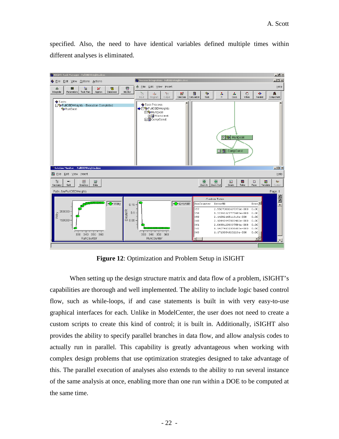specified. Also, the need to have identical variables defined multiple times within different analyses is eliminated.



**Figure 12**: Optimization and Problem Setup in iSIGHT

When setting up the design structure matrix and data flow of a problem, iSIGHT's capabilities are thorough and well implemented. The ability to include logic based control flow, such as while-loops, if and case statements is built in with very easy-to-use graphical interfaces for each. Unlike in ModelCenter, the user does not need to create a custom scripts to create this kind of control; it is built in. Additionally, iSIGHT also provides the ability to specify parallel branches in data flow, and allow analysis codes to actually run in parallel. This capability is greatly advantageous when working with complex design problems that use optimization strategies designed to take advantage of this. The parallel execution of analyses also extends to the ability to run several instance of the same analysis at once, enabling more than one run within a DOE to be computed at the same time.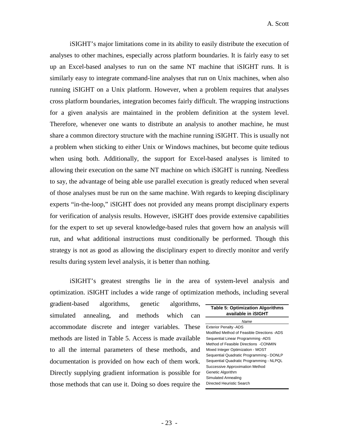iSIGHT's major limitations come in its ability to easily distribute the execution of analyses to other machines, especially across platform boundaries. It is fairly easy to set up an Excel-based analyses to run on the same NT machine that iSIGHT runs. It is similarly easy to integrate command-line analyses that run on Unix machines, when also running iSIGHT on a Unix platform. However, when a problem requires that analyses cross platform boundaries, integration becomes fairly difficult. The wrapping instructions for a given analysis are maintained in the problem definition at the system level. Therefore, whenever one wants to distribute an analysis to another machine, he must share a common directory structure with the machine running iSIGHT. This is usually not a problem when sticking to either Unix or Windows machines, but become quite tedious when using both. Additionally, the support for Excel-based analyses is limited to allowing their execution on the same NT machine on which iSIGHT is running. Needless to say, the advantage of being able use parallel execution is greatly reduced when several of those analyses must be run on the same machine. With regards to keeping disciplinary experts "in-the-loop," iSIGHT does not provided any means prompt disciplinary experts for verification of analysis results. However, iSIGHT does provide extensive capabilities for the expert to set up several knowledge-based rules that govern how an analysis will run, and what additional instructions must conditionally be performed. Though this strategy is not as good as allowing the disciplinary expert to directly monitor and verify results during system level analysis, it is better than nothing.

iSIGHT's greatest strengths lie in the area of system-level analysis and optimization. iSIGHT includes a wide range of optimization methods, including several

gradient-based algorithms, genetic algorithms, simulated annealing, and methods which can accommodate discrete and integer variables. These methods are listed in Table 5. Access is made available to all the internal parameters of these methods, and documentation is provided on how each of them work. Directly supplying gradient information is possible for those methods that can use it. Doing so does require the

| <b>Table 5: Optimization Algorithms</b><br>available in iSIGHT |  |  |
|----------------------------------------------------------------|--|--|
| Name                                                           |  |  |
| <b>Exterior Penalty - ADS</b>                                  |  |  |
| Modified Method of Feasible Directions -ADS                    |  |  |
| Sequential Linear Programming -ADS                             |  |  |
| Method of Feasible Directions - CONMIN                         |  |  |
| Mixed Integer Optimization - MOST                              |  |  |
| Sequential Quadratic Programming - DONLP                       |  |  |
| Sequential Quadratic Programming - NLPQL                       |  |  |
| Successive Approximation Method                                |  |  |
| Genetic Algorithm                                              |  |  |
| Simulated Annealing                                            |  |  |
| Directed Heuristic Search                                      |  |  |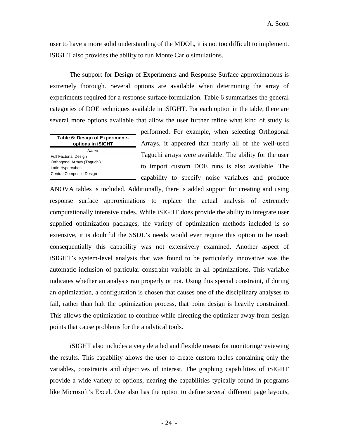user to have a more solid understanding of the MDOL, it is not too difficult to implement. iSIGHT also provides the ability to run Monte Carlo simulations.

The support for Design of Experiments and Response Surface approximations is extremely thorough. Several options are available when determining the array of experiments required for a response surface formulation. Table 6 summarizes the general categories of DOE techniques available in iSIGHT. For each option in the table, there are several more options available that allow the user further refine what kind of study is

| <b>Table 6: Design of Experiments</b><br>options in <b>SIGHT</b> |  |
|------------------------------------------------------------------|--|
| Name                                                             |  |
| <b>Full Factorial Design</b>                                     |  |
| Orthogonal Arrays (Taguchi)                                      |  |
| Latin Hypercubes                                                 |  |
| Central Composite Design                                         |  |

performed. For example, when selecting Orthogonal Arrays, it appeared that nearly all of the well-used Taguchi arrays were available. The ability for the user to import custom DOE runs is also available. The capability to specify noise variables and produce

ANOVA tables is included. Additionally, there is added support for creating and using response surface approximations to replace the actual analysis of extremely computationally intensive codes. While iSIGHT does provide the ability to integrate user supplied optimization packages, the variety of optimization methods included is so extensive, it is doubtful the SSDL's needs would ever require this option to be used; consequentially this capability was not extensively examined. Another aspect of iSIGHT's system-level analysis that was found to be particularly innovative was the automatic inclusion of particular constraint variable in all optimizations. This variable indicates whether an analysis ran properly or not. Using this special constraint, if during an optimization, a configuration is chosen that causes one of the disciplinary analyses to fail, rather than halt the optimization process, that point design is heavily constrained. This allows the optimization to continue while directing the optimizer away from design points that cause problems for the analytical tools.

iSIGHT also includes a very detailed and flexible means for monitoring/reviewing the results. This capability allows the user to create custom tables containing only the variables, constraints and objectives of interest. The graphing capabilities of iSIGHT provide a wide variety of options, nearing the capabilities typically found in programs like Microsoft's Excel. One also has the option to define several different page layouts,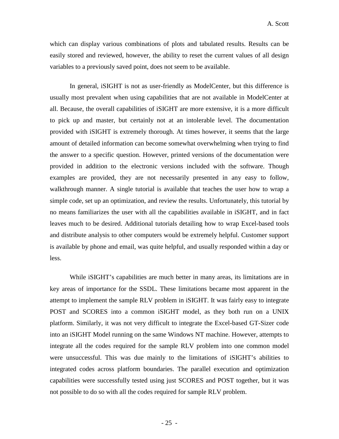which can display various combinations of plots and tabulated results. Results can be easily stored and reviewed, however, the ability to reset the current values of all design variables to a previously saved point, does not seem to be available.

In general, iSIGHT is not as user-friendly as ModelCenter, but this difference is usually most prevalent when using capabilities that are not available in ModelCenter at all. Because, the overall capabilities of iSIGHT are more extensive, it is a more difficult to pick up and master, but certainly not at an intolerable level. The documentation provided with iSIGHT is extremely thorough. At times however, it seems that the large amount of detailed information can become somewhat overwhelming when trying to find the answer to a specific question. However, printed versions of the documentation were provided in addition to the electronic versions included with the software. Though examples are provided, they are not necessarily presented in any easy to follow, walkthrough manner. A single tutorial is available that teaches the user how to wrap a simple code, set up an optimization, and review the results. Unfortunately, this tutorial by no means familiarizes the user with all the capabilities available in iSIGHT, and in fact leaves much to be desired. Additional tutorials detailing how to wrap Excel-based tools and distribute analysis to other computers would be extremely helpful. Customer support is available by phone and email, was quite helpful, and usually responded within a day or less.

While iSIGHT's capabilities are much better in many areas, its limitations are in key areas of importance for the SSDL. These limitations became most apparent in the attempt to implement the sample RLV problem in iSIGHT. It was fairly easy to integrate POST and SCORES into a common iSIGHT model, as they both run on a UNIX platform. Similarly, it was not very difficult to integrate the Excel-based GT-Sizer code into an iSIGHT Model running on the same Windows NT machine. However, attempts to integrate all the codes required for the sample RLV problem into one common model were unsuccessful. This was due mainly to the limitations of iSIGHT's abilities to integrated codes across platform boundaries. The parallel execution and optimization capabilities were successfully tested using just SCORES and POST together, but it was not possible to do so with all the codes required for sample RLV problem.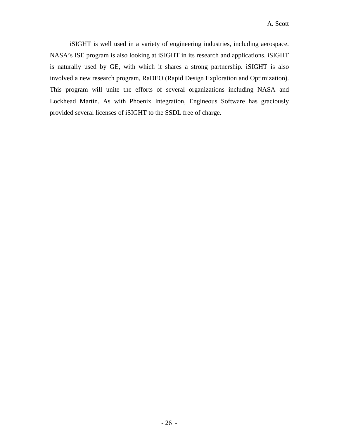iSIGHT is well used in a variety of engineering industries, including aerospace. NASA's ISE program is also looking at iSIGHT in its research and applications. iSIGHT is naturally used by GE, with which it shares a strong partnership. iSIGHT is also involved a new research program, RaDEO (Rapid Design Exploration and Optimization). This program will unite the efforts of several organizations including NASA and Lockhead Martin. As with Phoenix Integration, Engineous Software has graciously provided several licenses of iSIGHT to the SSDL free of charge.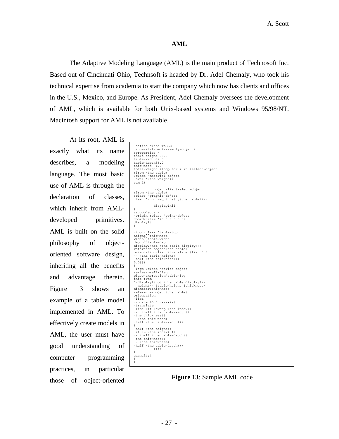### **AML**

The Adaptive Modeling Language (AML) is the main product of Technosoft Inc. Based out of Cincinnati Ohio, Technsoft is headed by Dr. Adel Chemaly, who took his technical expertise from academia to start the company which now has clients and offices in the U.S., Mexico, and Europe. As President, Adel Chemaly oversees the development of AML, which is available for both Unix-based systems and Windows 95/98/NT. Macintosh support for AML is not available.

At its root, AML is exactly what its name describes, a modeling language. The most basic use of AML is through the declaration of classes, which inherit from AMLdeveloped primitives. AML is built on the solid philosophy of objectoriented software design, inheriting all the benefits and advantage therein. Figure 13 shows an example of a table model implemented in AML. To effectively create models in AML, the user must have good understanding of computer programming practices, in particular those of object-oriented

| (define-class TABLE<br>:inherit-from (assembly-object)<br>:properties (<br>table-height 36.0<br>table-width72.0<br>table-depth36.0<br>thickness 1.0<br>total-weight (loop for i in (select-object<br>:from (the table)<br>:class 'material-object<br>:eval '(the weight))<br>sum i)<br>object-list (select-object<br>:from (the table)<br>:class 'qraphic-object<br>:test '(not (eq (the) , (the table))))<br>display?nil<br>$\lambda$<br>:subobjects (<br>(origin : class 'point-object<br>coordinates '(0.0 0.0 0.0)<br>display?t<br>$\lambda$<br>(top : class 'table-top<br>height <sup>**</sup> thickness<br>width**table-width<br>depth <sup>^^</sup> table-depth<br>display?(not (the table display>))<br>reference-object (the table)<br>orientation(list (translate (list 0.0<br>(- (the table-height)<br>(half (the thickness)))<br>$0.0)$ )<br>$\lambda$<br>(legs : class 'series-object<br>series-prefix'leq<br>class-expression'table-leq<br>init-from<br>'(display?(not (the table display?))<br>height (- !table-height !thickness)<br>diameter!thickness<br>reference-object(the table)<br>orientation<br>(list<br>$(rotate 90.0 :x-axis)$<br>(translate<br>(list (if (evenp (the index))<br>(- (half (the table-width))<br>(the thickness))<br>(-(the thickness)<br>$(half (the table-width)))$<br>(half (the height))<br>(if (5 (the index) 1)<br>(- (half (the table-depth))<br>(the thickness))<br>(- (the thickness)<br>(half (the table-depth)))<br>))))<br>$\lambda$<br>quantity4<br>$\lambda$<br>$\lambda$ |  |
|-----------------------------------------------------------------------------------------------------------------------------------------------------------------------------------------------------------------------------------------------------------------------------------------------------------------------------------------------------------------------------------------------------------------------------------------------------------------------------------------------------------------------------------------------------------------------------------------------------------------------------------------------------------------------------------------------------------------------------------------------------------------------------------------------------------------------------------------------------------------------------------------------------------------------------------------------------------------------------------------------------------------------------------------------------------------------------------------------------------------------------------------------------------------------------------------------------------------------------------------------------------------------------------------------------------------------------------------------------------------------------------------------------------------------------------------------------------------------------------------------------------------------------------|--|
|                                                                                                                                                                                                                                                                                                                                                                                                                                                                                                                                                                                                                                                                                                                                                                                                                                                                                                                                                                                                                                                                                                                                                                                                                                                                                                                                                                                                                                                                                                                                   |  |
|                                                                                                                                                                                                                                                                                                                                                                                                                                                                                                                                                                                                                                                                                                                                                                                                                                                                                                                                                                                                                                                                                                                                                                                                                                                                                                                                                                                                                                                                                                                                   |  |
|                                                                                                                                                                                                                                                                                                                                                                                                                                                                                                                                                                                                                                                                                                                                                                                                                                                                                                                                                                                                                                                                                                                                                                                                                                                                                                                                                                                                                                                                                                                                   |  |
|                                                                                                                                                                                                                                                                                                                                                                                                                                                                                                                                                                                                                                                                                                                                                                                                                                                                                                                                                                                                                                                                                                                                                                                                                                                                                                                                                                                                                                                                                                                                   |  |
|                                                                                                                                                                                                                                                                                                                                                                                                                                                                                                                                                                                                                                                                                                                                                                                                                                                                                                                                                                                                                                                                                                                                                                                                                                                                                                                                                                                                                                                                                                                                   |  |
|                                                                                                                                                                                                                                                                                                                                                                                                                                                                                                                                                                                                                                                                                                                                                                                                                                                                                                                                                                                                                                                                                                                                                                                                                                                                                                                                                                                                                                                                                                                                   |  |
|                                                                                                                                                                                                                                                                                                                                                                                                                                                                                                                                                                                                                                                                                                                                                                                                                                                                                                                                                                                                                                                                                                                                                                                                                                                                                                                                                                                                                                                                                                                                   |  |
|                                                                                                                                                                                                                                                                                                                                                                                                                                                                                                                                                                                                                                                                                                                                                                                                                                                                                                                                                                                                                                                                                                                                                                                                                                                                                                                                                                                                                                                                                                                                   |  |
|                                                                                                                                                                                                                                                                                                                                                                                                                                                                                                                                                                                                                                                                                                                                                                                                                                                                                                                                                                                                                                                                                                                                                                                                                                                                                                                                                                                                                                                                                                                                   |  |
|                                                                                                                                                                                                                                                                                                                                                                                                                                                                                                                                                                                                                                                                                                                                                                                                                                                                                                                                                                                                                                                                                                                                                                                                                                                                                                                                                                                                                                                                                                                                   |  |
|                                                                                                                                                                                                                                                                                                                                                                                                                                                                                                                                                                                                                                                                                                                                                                                                                                                                                                                                                                                                                                                                                                                                                                                                                                                                                                                                                                                                                                                                                                                                   |  |
|                                                                                                                                                                                                                                                                                                                                                                                                                                                                                                                                                                                                                                                                                                                                                                                                                                                                                                                                                                                                                                                                                                                                                                                                                                                                                                                                                                                                                                                                                                                                   |  |
|                                                                                                                                                                                                                                                                                                                                                                                                                                                                                                                                                                                                                                                                                                                                                                                                                                                                                                                                                                                                                                                                                                                                                                                                                                                                                                                                                                                                                                                                                                                                   |  |
|                                                                                                                                                                                                                                                                                                                                                                                                                                                                                                                                                                                                                                                                                                                                                                                                                                                                                                                                                                                                                                                                                                                                                                                                                                                                                                                                                                                                                                                                                                                                   |  |
|                                                                                                                                                                                                                                                                                                                                                                                                                                                                                                                                                                                                                                                                                                                                                                                                                                                                                                                                                                                                                                                                                                                                                                                                                                                                                                                                                                                                                                                                                                                                   |  |
|                                                                                                                                                                                                                                                                                                                                                                                                                                                                                                                                                                                                                                                                                                                                                                                                                                                                                                                                                                                                                                                                                                                                                                                                                                                                                                                                                                                                                                                                                                                                   |  |
|                                                                                                                                                                                                                                                                                                                                                                                                                                                                                                                                                                                                                                                                                                                                                                                                                                                                                                                                                                                                                                                                                                                                                                                                                                                                                                                                                                                                                                                                                                                                   |  |
|                                                                                                                                                                                                                                                                                                                                                                                                                                                                                                                                                                                                                                                                                                                                                                                                                                                                                                                                                                                                                                                                                                                                                                                                                                                                                                                                                                                                                                                                                                                                   |  |
|                                                                                                                                                                                                                                                                                                                                                                                                                                                                                                                                                                                                                                                                                                                                                                                                                                                                                                                                                                                                                                                                                                                                                                                                                                                                                                                                                                                                                                                                                                                                   |  |
|                                                                                                                                                                                                                                                                                                                                                                                                                                                                                                                                                                                                                                                                                                                                                                                                                                                                                                                                                                                                                                                                                                                                                                                                                                                                                                                                                                                                                                                                                                                                   |  |
|                                                                                                                                                                                                                                                                                                                                                                                                                                                                                                                                                                                                                                                                                                                                                                                                                                                                                                                                                                                                                                                                                                                                                                                                                                                                                                                                                                                                                                                                                                                                   |  |
|                                                                                                                                                                                                                                                                                                                                                                                                                                                                                                                                                                                                                                                                                                                                                                                                                                                                                                                                                                                                                                                                                                                                                                                                                                                                                                                                                                                                                                                                                                                                   |  |
|                                                                                                                                                                                                                                                                                                                                                                                                                                                                                                                                                                                                                                                                                                                                                                                                                                                                                                                                                                                                                                                                                                                                                                                                                                                                                                                                                                                                                                                                                                                                   |  |
|                                                                                                                                                                                                                                                                                                                                                                                                                                                                                                                                                                                                                                                                                                                                                                                                                                                                                                                                                                                                                                                                                                                                                                                                                                                                                                                                                                                                                                                                                                                                   |  |
|                                                                                                                                                                                                                                                                                                                                                                                                                                                                                                                                                                                                                                                                                                                                                                                                                                                                                                                                                                                                                                                                                                                                                                                                                                                                                                                                                                                                                                                                                                                                   |  |
|                                                                                                                                                                                                                                                                                                                                                                                                                                                                                                                                                                                                                                                                                                                                                                                                                                                                                                                                                                                                                                                                                                                                                                                                                                                                                                                                                                                                                                                                                                                                   |  |
|                                                                                                                                                                                                                                                                                                                                                                                                                                                                                                                                                                                                                                                                                                                                                                                                                                                                                                                                                                                                                                                                                                                                                                                                                                                                                                                                                                                                                                                                                                                                   |  |
|                                                                                                                                                                                                                                                                                                                                                                                                                                                                                                                                                                                                                                                                                                                                                                                                                                                                                                                                                                                                                                                                                                                                                                                                                                                                                                                                                                                                                                                                                                                                   |  |
|                                                                                                                                                                                                                                                                                                                                                                                                                                                                                                                                                                                                                                                                                                                                                                                                                                                                                                                                                                                                                                                                                                                                                                                                                                                                                                                                                                                                                                                                                                                                   |  |
|                                                                                                                                                                                                                                                                                                                                                                                                                                                                                                                                                                                                                                                                                                                                                                                                                                                                                                                                                                                                                                                                                                                                                                                                                                                                                                                                                                                                                                                                                                                                   |  |
|                                                                                                                                                                                                                                                                                                                                                                                                                                                                                                                                                                                                                                                                                                                                                                                                                                                                                                                                                                                                                                                                                                                                                                                                                                                                                                                                                                                                                                                                                                                                   |  |
|                                                                                                                                                                                                                                                                                                                                                                                                                                                                                                                                                                                                                                                                                                                                                                                                                                                                                                                                                                                                                                                                                                                                                                                                                                                                                                                                                                                                                                                                                                                                   |  |
|                                                                                                                                                                                                                                                                                                                                                                                                                                                                                                                                                                                                                                                                                                                                                                                                                                                                                                                                                                                                                                                                                                                                                                                                                                                                                                                                                                                                                                                                                                                                   |  |
|                                                                                                                                                                                                                                                                                                                                                                                                                                                                                                                                                                                                                                                                                                                                                                                                                                                                                                                                                                                                                                                                                                                                                                                                                                                                                                                                                                                                                                                                                                                                   |  |
|                                                                                                                                                                                                                                                                                                                                                                                                                                                                                                                                                                                                                                                                                                                                                                                                                                                                                                                                                                                                                                                                                                                                                                                                                                                                                                                                                                                                                                                                                                                                   |  |
|                                                                                                                                                                                                                                                                                                                                                                                                                                                                                                                                                                                                                                                                                                                                                                                                                                                                                                                                                                                                                                                                                                                                                                                                                                                                                                                                                                                                                                                                                                                                   |  |
|                                                                                                                                                                                                                                                                                                                                                                                                                                                                                                                                                                                                                                                                                                                                                                                                                                                                                                                                                                                                                                                                                                                                                                                                                                                                                                                                                                                                                                                                                                                                   |  |
|                                                                                                                                                                                                                                                                                                                                                                                                                                                                                                                                                                                                                                                                                                                                                                                                                                                                                                                                                                                                                                                                                                                                                                                                                                                                                                                                                                                                                                                                                                                                   |  |
|                                                                                                                                                                                                                                                                                                                                                                                                                                                                                                                                                                                                                                                                                                                                                                                                                                                                                                                                                                                                                                                                                                                                                                                                                                                                                                                                                                                                                                                                                                                                   |  |

**Figure 13**: Sample AML code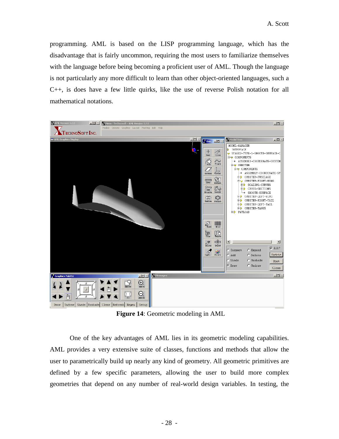programming. AML is based on the LISP programming language, which has the disadvantage that is fairly uncommon, requiring the most users to familiarize themselves with the language before being becoming a proficient user of AML. Though the language is not particularly any more difficult to learn than other object-oriented languages, such a C++, is does have a few little quirks, like the use of reverse Polish notation for all mathematical notations.



**Figure 14**: Geometric modeling in AML

One of the key advantages of AML lies in its geometric modeling capabilities. AML provides a very extensive suite of classes, functions and methods that allow the user to parametrically build up nearly any kind of geometry. All geometric primitives are defined by a few specific parameters, allowing the user to build more complex geometries that depend on any number of real-world design variables. In testing, the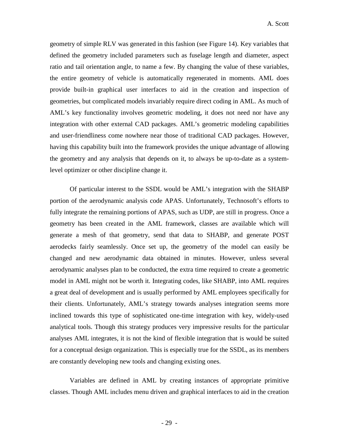geometry of simple RLV was generated in this fashion (see Figure 14). Key variables that defined the geometry included parameters such as fuselage length and diameter, aspect ratio and tail orientation angle, to name a few. By changing the value of these variables, the entire geometry of vehicle is automatically regenerated in moments. AML does provide built-in graphical user interfaces to aid in the creation and inspection of geometries, but complicated models invariably require direct coding in AML. As much of AML's key functionality involves geometric modeling, it does not need nor have any integration with other external CAD packages. AML's geometric modeling capabilities and user-friendliness come nowhere near those of traditional CAD packages. However, having this capability built into the framework provides the unique advantage of allowing the geometry and any analysis that depends on it, to always be up-to-date as a systemlevel optimizer or other discipline change it.

Of particular interest to the SSDL would be AML's integration with the SHABP portion of the aerodynamic analysis code APAS. Unfortunately, Technosoft's efforts to fully integrate the remaining portions of APAS, such as UDP, are still in progress. Once a geometry has been created in the AML framework, classes are available which will generate a mesh of that geometry, send that data to SHABP, and generate POST aerodecks fairly seamlessly. Once set up, the geometry of the model can easily be changed and new aerodynamic data obtained in minutes. However, unless several aerodynamic analyses plan to be conducted, the extra time required to create a geometric model in AML might not be worth it. Integrating codes, like SHABP, into AML requires a great deal of development and is usually performed by AML employees specifically for their clients. Unfortunately, AML's strategy towards analyses integration seems more inclined towards this type of sophisticated one-time integration with key, widely-used analytical tools. Though this strategy produces very impressive results for the particular analyses AML integrates, it is not the kind of flexible integration that is would be suited for a conceptual design organization. This is especially true for the SSDL, as its members are constantly developing new tools and changing existing ones.

Variables are defined in AML by creating instances of appropriate primitive classes. Though AML includes menu driven and graphical interfaces to aid in the creation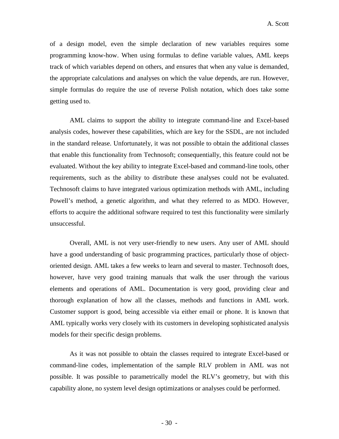of a design model, even the simple declaration of new variables requires some programming know-how. When using formulas to define variable values, AML keeps track of which variables depend on others, and ensures that when any value is demanded, the appropriate calculations and analyses on which the value depends, are run. However, simple formulas do require the use of reverse Polish notation, which does take some getting used to.

AML claims to support the ability to integrate command-line and Excel-based analysis codes, however these capabilities, which are key for the SSDL, are not included in the standard release. Unfortunately, it was not possible to obtain the additional classes that enable this functionality from Technosoft; consequentially, this feature could not be evaluated. Without the key ability to integrate Excel-based and command-line tools, other requirements, such as the ability to distribute these analyses could not be evaluated. Technosoft claims to have integrated various optimization methods with AML, including Powell's method, a genetic algorithm, and what they referred to as MDO. However, efforts to acquire the additional software required to test this functionality were similarly unsuccessful.

Overall, AML is not very user-friendly to new users. Any user of AML should have a good understanding of basic programming practices, particularly those of objectoriented design. AML takes a few weeks to learn and several to master. Technosoft does, however, have very good training manuals that walk the user through the various elements and operations of AML. Documentation is very good, providing clear and thorough explanation of how all the classes, methods and functions in AML work. Customer support is good, being accessible via either email or phone. It is known that AML typically works very closely with its customers in developing sophisticated analysis models for their specific design problems.

As it was not possible to obtain the classes required to integrate Excel-based or command-line codes, implementation of the sample RLV problem in AML was not possible. It was possible to parametrically model the RLV's geometry, but with this capability alone, no system level design optimizations or analyses could be performed.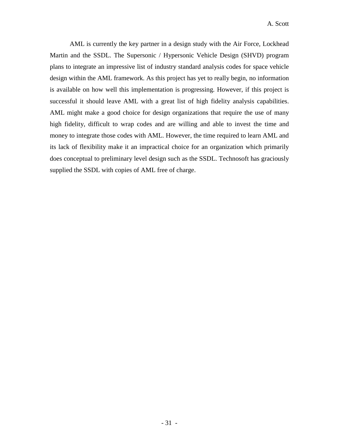AML is currently the key partner in a design study with the Air Force, Lockhead Martin and the SSDL. The Supersonic / Hypersonic Vehicle Design (SHVD) program plans to integrate an impressive list of industry standard analysis codes for space vehicle design within the AML framework. As this project has yet to really begin, no information is available on how well this implementation is progressing. However, if this project is successful it should leave AML with a great list of high fidelity analysis capabilities. AML might make a good choice for design organizations that require the use of many high fidelity, difficult to wrap codes and are willing and able to invest the time and money to integrate those codes with AML. However, the time required to learn AML and its lack of flexibility make it an impractical choice for an organization which primarily does conceptual to preliminary level design such as the SSDL. Technosoft has graciously supplied the SSDL with copies of AML free of charge.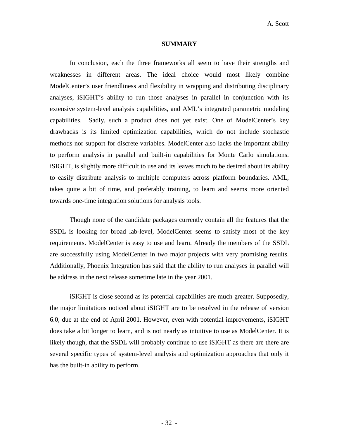#### **SUMMARY**

In conclusion, each the three frameworks all seem to have their strengths and weaknesses in different areas. The ideal choice would most likely combine ModelCenter's user friendliness and flexibility in wrapping and distributing disciplinary analyses, iSIGHT's ability to run those analyses in parallel in conjunction with its extensive system-level analysis capabilities, and AML's integrated parametric modeling capabilities. Sadly, such a product does not yet exist. One of ModelCenter's key drawbacks is its limited optimization capabilities, which do not include stochastic methods nor support for discrete variables. ModelCenter also lacks the important ability to perform analysis in parallel and built-in capabilities for Monte Carlo simulations. iSIGHT, is slightly more difficult to use and its leaves much to be desired about its ability to easily distribute analysis to multiple computers across platform boundaries. AML, takes quite a bit of time, and preferably training, to learn and seems more oriented towards one-time integration solutions for analysis tools.

Though none of the candidate packages currently contain all the features that the SSDL is looking for broad lab-level, ModelCenter seems to satisfy most of the key requirements. ModelCenter is easy to use and learn. Already the members of the SSDL are successfully using ModelCenter in two major projects with very promising results. Additionally, Phoenix Integration has said that the ability to run analyses in parallel will be address in the next release sometime late in the year 2001.

iSIGHT is close second as its potential capabilities are much greater. Supposedly, the major limitations noticed about iSIGHT are to be resolved in the release of version 6.0, due at the end of April 2001. However, even with potential improvements, iSIGHT does take a bit longer to learn, and is not nearly as intuitive to use as ModelCenter. It is likely though, that the SSDL will probably continue to use iSIGHT as there are there are several specific types of system-level analysis and optimization approaches that only it has the built-in ability to perform.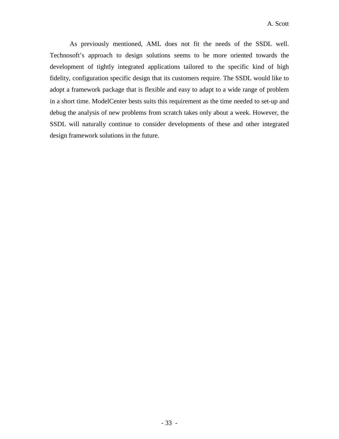As previously mentioned, AML does not fit the needs of the SSDL well. Technosoft's approach to design solutions seems to be more oriented towards the development of tightly integrated applications tailored to the specific kind of high fidelity, configuration specific design that its customers require. The SSDL would like to adopt a framework package that is flexible and easy to adapt to a wide range of problem in a short time. ModelCenter bests suits this requirement as the time needed to set-up and debug the analysis of new problems from scratch takes only about a week. However, the SSDL will naturally continue to consider developments of these and other integrated design framework solutions in the future.